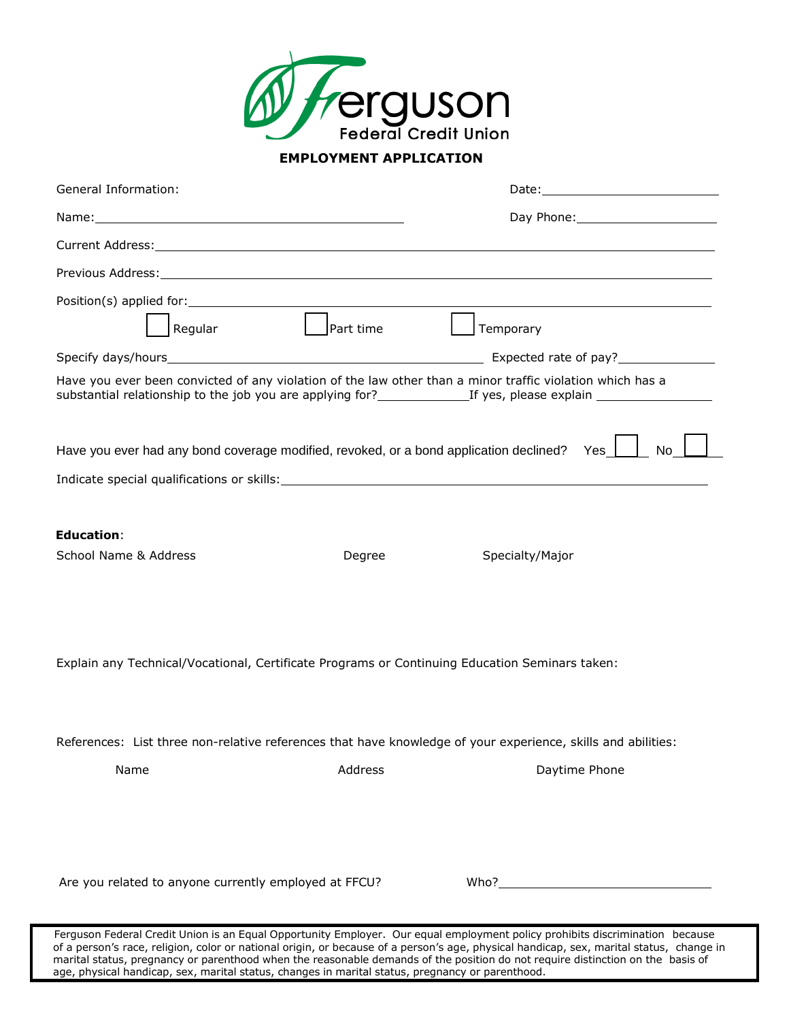

## **EMPLOYMENT APPLICATION**

| General Information:                                                                                                                                                                                                           |           |                                                                                                                                                                                                                                                 |  |  |
|--------------------------------------------------------------------------------------------------------------------------------------------------------------------------------------------------------------------------------|-----------|-------------------------------------------------------------------------------------------------------------------------------------------------------------------------------------------------------------------------------------------------|--|--|
|                                                                                                                                                                                                                                |           |                                                                                                                                                                                                                                                 |  |  |
|                                                                                                                                                                                                                                |           |                                                                                                                                                                                                                                                 |  |  |
|                                                                                                                                                                                                                                |           |                                                                                                                                                                                                                                                 |  |  |
| Position(s) applied for: Network and the set of the set of the set of the set of the set of the set of the set of the set of the set of the set of the set of the set of the set of the set of the set of the set of the set o |           |                                                                                                                                                                                                                                                 |  |  |
| Regular                                                                                                                                                                                                                        | Part time | Temporary                                                                                                                                                                                                                                       |  |  |
|                                                                                                                                                                                                                                |           |                                                                                                                                                                                                                                                 |  |  |
| Have you ever been convicted of any violation of the law other than a minor traffic violation which has a                                                                                                                      |           |                                                                                                                                                                                                                                                 |  |  |
| Have you ever had any bond coverage modified, revoked, or a bond application declined? Yes                                                                                                                                     |           | No                                                                                                                                                                                                                                              |  |  |
|                                                                                                                                                                                                                                |           |                                                                                                                                                                                                                                                 |  |  |
| <b>Education:</b>                                                                                                                                                                                                              |           |                                                                                                                                                                                                                                                 |  |  |
| School Name & Address                                                                                                                                                                                                          | Degree    | Specialty/Major                                                                                                                                                                                                                                 |  |  |
| Explain any Technical/Vocational, Certificate Programs or Continuing Education Seminars taken:                                                                                                                                 |           |                                                                                                                                                                                                                                                 |  |  |
| References: List three non-relative references that have knowledge of your experience, skills and abilities:                                                                                                                   |           |                                                                                                                                                                                                                                                 |  |  |
| Name                                                                                                                                                                                                                           | Address   | Daytime Phone                                                                                                                                                                                                                                   |  |  |
|                                                                                                                                                                                                                                |           |                                                                                                                                                                                                                                                 |  |  |
| Are you related to anyone currently employed at FFCU?                                                                                                                                                                          |           | Who? Note that the state of the state of the state of the state of the state of the state of the state of the state of the state of the state of the state of the state of the state of the state of the state of the state of                  |  |  |
|                                                                                                                                                                                                                                |           | Ferguson Federal Credit Union is an Equal Opportunity Employer. Our equal employment policy prohibits discrimination because<br>ana, untinian, notae au patienal evinin, au benarung of a person's ana, physical bandiana, novy menuitat etatua |  |  |

of a person's race, religion, color or national origin, or because of a person's age, physical handicap, sex, marital status, change in marital status, pregnancy or parenthood when the reasonable demands of the position do not require distinction on the basis of age, physical handicap, sex, marital status, changes in marital status, pregnancy or parenthood.